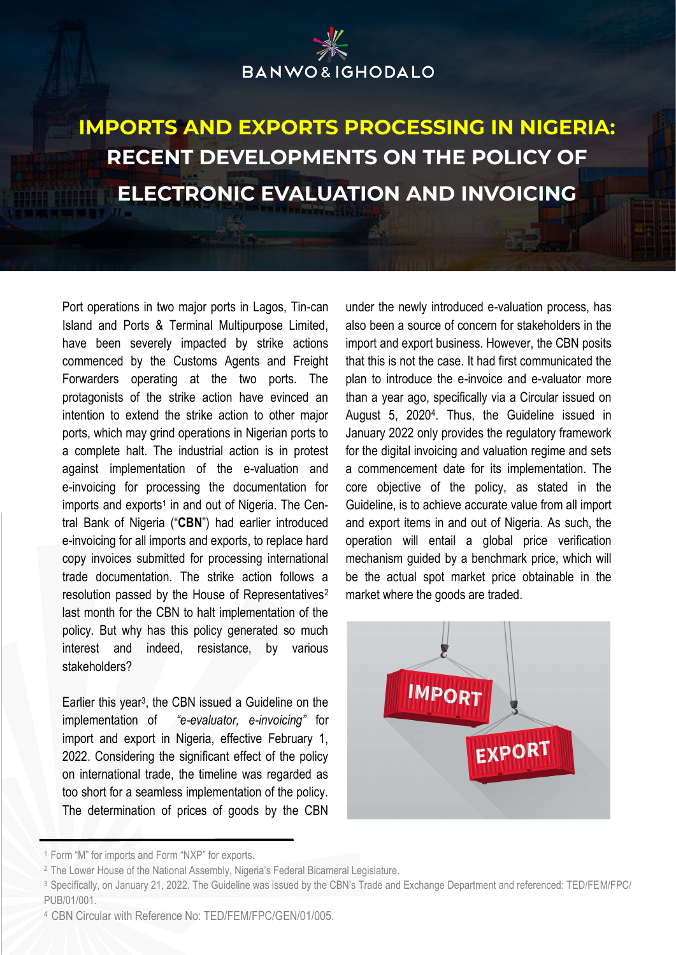# **BANWO&IGHODALO**

### **IMPORTS AND EXPORTS PROCESSING IN NIGERIA: RECENT DEVELOPMENTS ON THE POLICY OF ELECTRONIC EVALUATION AND INVOICING**

Port operations in two major ports in Lagos, Tin-can Island and Ports & Terminal Multipurpose Limited, have been severely impacted by strike actions commenced by the Customs Agents and Freight Forwarders operating at the two ports. The protagonists of the strike action have evinced an intention to extend the strike action to other major ports, which may grind operations in Nigerian ports to a complete halt. The industrial action is in protest against implementation of the e-valuation and e-invoicing for processing the documentation for imports and exports<sup>1</sup> in and out of Nigeria. The Central Bank of Nigeria ("**CBN**") had earlier introduced e-invoicing for all imports and exports, to replace hard copy invoices submitted for processing international trade documentation. The strike action follows a resolution passed by the House of Representatives<sup>2</sup> last month for the CBN to halt implementation of the policy. But why has this policy generated so much interest and indeed, resistance, by various stakeholders?

Earlier this year<sup>3</sup> , the CBN issued a Guideline on the implementation of *"e-evaluator, e-invoicing"* for import and export in Nigeria, effective February 1, 2022. Considering the significant effect of the policy on international trade, the timeline was regarded as too short for a seamless implementation of the policy. The determination of prices of goods by the CBN

under the newly introduced e-valuation process, has also been a source of concern for stakeholders in the import and export business. However, the CBN posits that this is not the case. It had first communicated the plan to introduce the e-invoice and e-valuator more than a year ago, specifically via a Circular issued on August 5, 2020<sup>4</sup> . Thus, the Guideline issued in January 2022 only provides the regulatory framework for the digital invoicing and valuation regime and sets a commencement date for its implementation. The core objective of the policy, as stated in the Guideline, is to achieve accurate value from all import and export items in and out of Nigeria. As such, the operation will entail a global price verification mechanism guided by a benchmark price, which will be the actual spot market price obtainable in the market where the goods are traded.



<sup>1</sup>Form "M" for imports and Form "NXP" for exports.

<sup>&</sup>lt;sup>2</sup> The Lower House of the National Assembly, Nigeria's Federal Bicameral Legislature.

<sup>3</sup>Specifically, on January 21, 2022. The Guideline was issued by the CBN's Trade and Exchange Department and referenced: TED/FEM/FPC/ PUB/01/001.

<sup>4</sup> CBN Circular with Reference No: TED/FEM/FPC/GEN/01/005.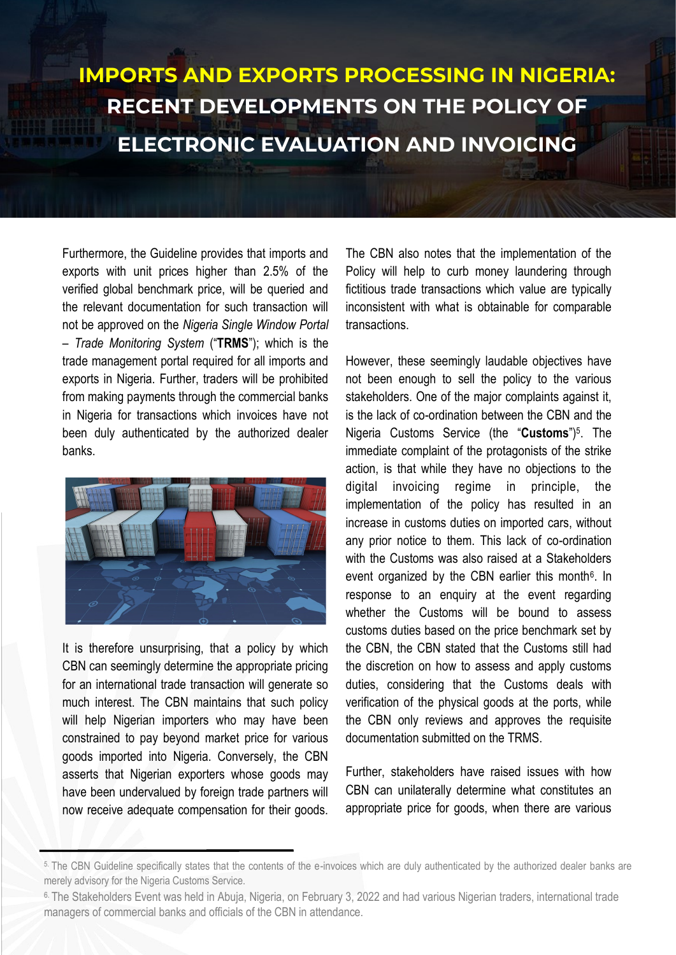Furthermore, the Guideline provides that imports and exports with unit prices higher than 2.5% of the verified global benchmark price, will be queried and the relevant documentation for such transaction will not be approved on the *Nigeria Single Window Portal – Trade Monitoring System* ("**TRMS**"); which is the trade management portal required for all imports and exports in Nigeria. Further, traders will be prohibited from making payments through the commercial banks in Nigeria for transactions which invoices have not been duly authenticated by the authorized dealer banks.



It is therefore unsurprising, that a policy by which CBN can seemingly determine the appropriate pricing for an international trade transaction will generate so much interest. The CBN maintains that such policy will help Nigerian importers who may have been constrained to pay beyond market price for various goods imported into Nigeria. Conversely, the CBN asserts that Nigerian exporters whose goods may have been undervalued by foreign trade partners will now receive adequate compensation for their goods.

The CBN also notes that the implementation of the Policy will help to curb money laundering through fictitious trade transactions which value are typically inconsistent with what is obtainable for comparable transactions.

However, these seemingly laudable objectives have not been enough to sell the policy to the various stakeholders. One of the major complaints against it, is the lack of co-ordination between the CBN and the Nigeria Customs Service (the "**Customs**")<sup>5</sup> . The immediate complaint of the protagonists of the strike action, is that while they have no objections to the digital invoicing regime in principle, the implementation of the policy has resulted in an increase in customs duties on imported cars, without any prior notice to them. This lack of co-ordination with the Customs was also raised at a Stakeholders event organized by the CBN earlier this month<sup>6</sup>. In response to an enquiry at the event regarding whether the Customs will be bound to assess customs duties based on the price benchmark set by the CBN, the CBN stated that the Customs still had the discretion on how to assess and apply customs duties, considering that the Customs deals with verification of the physical goods at the ports, while the CBN only reviews and approves the requisite documentation submitted on the TRMS.

Further, stakeholders have raised issues with how CBN can unilaterally determine what constitutes an appropriate price for goods, when there are various

<sup>5.</sup> The CBN Guideline specifically states that the contents of the e-invoices which are duly authenticated by the authorized dealer banks are merely advisory for the Nigeria Customs Service.

<sup>6.</sup> The Stakeholders Event was held in Abuja, Nigeria, on February 3, 2022 and had various Nigerian traders, international trade managers of commercial banks and officials of the CBN in attendance.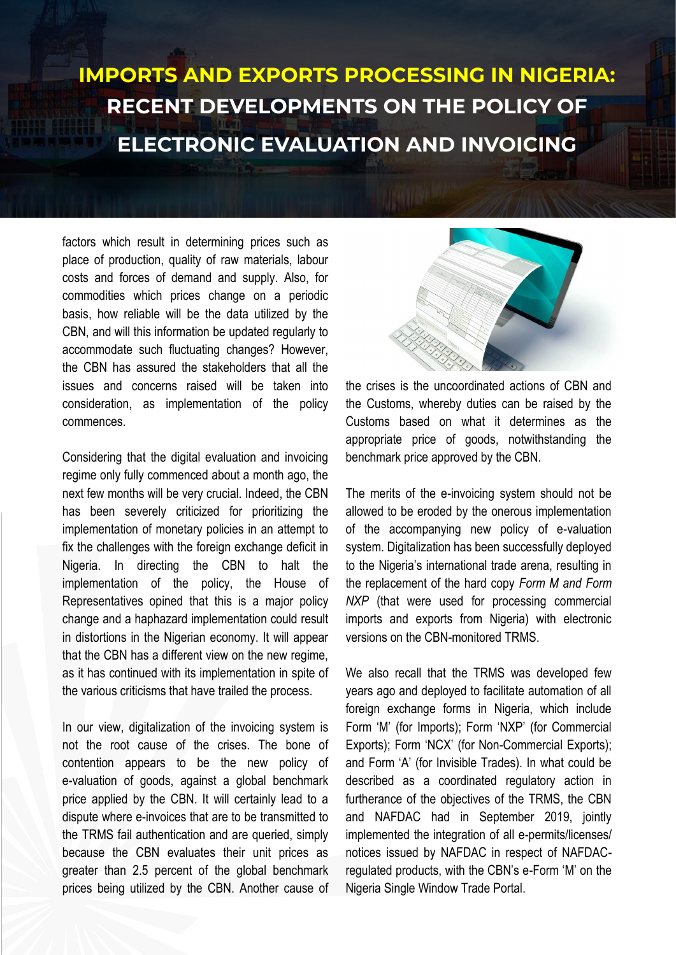factors which result in determining prices such as place of production, quality of raw materials, labour costs and forces of demand and supply. Also, for commodities which prices change on a periodic basis, how reliable will be the data utilized by the CBN, and will this information be updated regularly to accommodate such fluctuating changes? However, the CBN has assured the stakeholders that all the issues and concerns raised will be taken into consideration, as implementation of the policy commences.

Considering that the digital evaluation and invoicing regime only fully commenced about a month ago, the next few months will be very crucial. Indeed, the CBN has been severely criticized for prioritizing the implementation of monetary policies in an attempt to fix the challenges with the foreign exchange deficit in Nigeria. In directing the CBN to halt the implementation of the policy, the House of Representatives opined that this is a major policy change and a haphazard implementation could result in distortions in the Nigerian economy. It will appear that the CBN has a different view on the new regime, as it has continued with its implementation in spite of the various criticisms that have trailed the process.

In our view, digitalization of the invoicing system is not the root cause of the crises. The bone of contention appears to be the new policy of e-valuation of goods, against a global benchmark price applied by the CBN. It will certainly lead to a dispute where e-invoices that are to be transmitted to the TRMS fail authentication and are queried, simply because the CBN evaluates their unit prices as greater than 2.5 percent of the global benchmark prices being utilized by the CBN. Another cause of



the crises is the uncoordinated actions of CBN and the Customs, whereby duties can be raised by the Customs based on what it determines as the appropriate price of goods, notwithstanding the benchmark price approved by the CBN.

The merits of the e-invoicing system should not be allowed to be eroded by the onerous implementation of the accompanying new policy of e-valuation system. Digitalization has been successfully deployed to the Nigeria's international trade arena, resulting in the replacement of the hard copy *Form M and Form NXP* (that were used for processing commercial imports and exports from Nigeria) with electronic versions on the CBN-monitored TRMS.

We also recall that the TRMS was developed few years ago and deployed to facilitate automation of all foreign exchange forms in Nigeria, which include Form 'M' (for Imports); Form 'NXP' (for Commercial Exports); Form 'NCX' (for Non-Commercial Exports); and Form 'A' (for Invisible Trades). In what could be described as a coordinated regulatory action in furtherance of the objectives of the TRMS, the CBN and NAFDAC had in September 2019, jointly implemented the integration of all e-permits/licenses/ notices issued by NAFDAC in respect of NAFDACregulated products, with the CBN's e-Form 'M' on the Nigeria Single Window Trade Portal.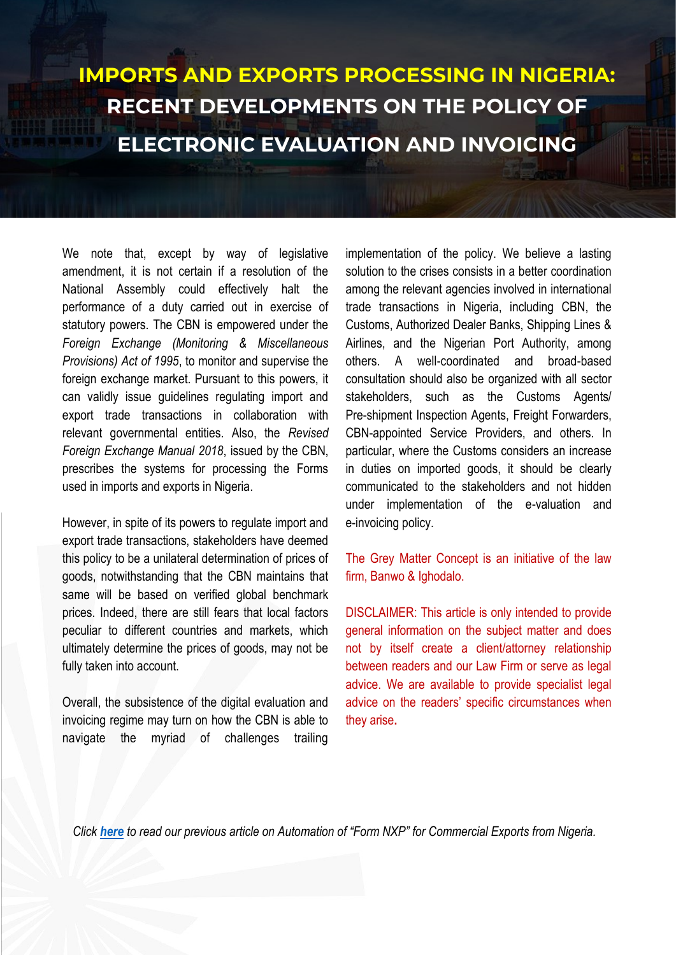We note that, except by way of legislative amendment, it is not certain if a resolution of the National Assembly could effectively halt the performance of a duty carried out in exercise of statutory powers. The CBN is empowered under the *Foreign Exchange (Monitoring & Miscellaneous Provisions) Act of 1995*, to monitor and supervise the foreign exchange market. Pursuant to this powers, it can validly issue guidelines regulating import and export trade transactions in collaboration with relevant governmental entities. Also, the *Revised Foreign Exchange Manual 2018*, issued by the CBN, prescribes the systems for processing the Forms used in imports and exports in Nigeria.

However, in spite of its powers to regulate import and export trade transactions, stakeholders have deemed this policy to be a unilateral determination of prices of goods, notwithstanding that the CBN maintains that same will be based on verified global benchmark prices. Indeed, there are still fears that local factors peculiar to different countries and markets, which ultimately determine the prices of goods, may not be fully taken into account.

Overall, the subsistence of the digital evaluation and invoicing regime may turn on how the CBN is able to navigate the myriad of challenges trailing implementation of the policy. We believe a lasting solution to the crises consists in a better coordination among the relevant agencies involved in international trade transactions in Nigeria, including CBN, the Customs, Authorized Dealer Banks, Shipping Lines & Airlines, and the Nigerian Port Authority, among others. A well-coordinated and broad-based consultation should also be organized with all sector stakeholders, such as the Customs Agents/ Pre-shipment Inspection Agents, Freight Forwarders, CBN-appointed Service Providers, and others. In particular, where the Customs considers an increase in duties on imported goods, it should be clearly communicated to the stakeholders and not hidden under implementation of the e-valuation and e-invoicing policy.

The Grey Matter Concept is an initiative of the law firm, Banwo & Ighodalo.

DISCLAIMER: This article is only intended to provide general information on the subject matter and does not by itself create a client/attorney relationship between readers and our Law Firm or serve as legal advice. We are available to provide specialist legal advice on the readers' specific circumstances when they arise**.** 

*Click [here](https://www.banwo-ighodalo.com/grey-matter/cbn-automates-nigerian-proceeds-form-nxp-commercial-exports) to read our previous article on Automation of "Form NXP" for Commercial Exports from Nigeria.*